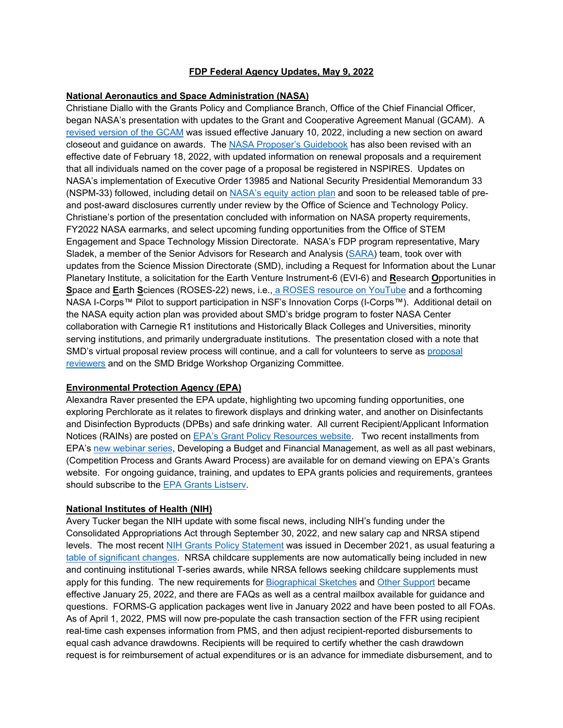# **FDP Federal Agency Updates, May 9, 2022**

### **National Aeronautics and Space Administration (NASA)**

Christiane Diallo with the Grants Policy and Compliance Branch, Office of the Chief Financial Officer, began NASA's presentation with updates to the Grant and Cooperative Agreement Manual (GCAM). A [revised version of the GCAM](https://www.nasa.gov/sites/default/files/atoms/files/grant_and_cooperative_agreement_manual_-_jan_2022.pdf) was issued effective January 10, 2022, including a new section on award closeout and guidance on awards. The [NASA Proposer's Guidebook](https://www.nasa.gov/sites/default/files/atoms/files/nasa_guidebook_for_proposers-feb_2022_tagged.pdf) has also been revised with an effective date of February 18, 2022, with updated information on renewal proposals and a requirement that all individuals named on the cover page of a proposal be registered in NSPIRES. Updates on NASA's implementation of Executive Order 13985 and National Security Presidential Memorandum 33 (NSPM-33) followed, including detail on [NASA's equity action plan](https://www.nasa.gov/sites/default/files/atoms/files/nasa_-_equity_report_-_v9.pdf) and soon to be released table of preand post-award disclosures currently under review by the Office of Science and Technology Policy. Christiane's portion of the presentation concluded with information on NASA property requirements, FY2022 NASA earmarks, and select upcoming funding opportunities from the Office of STEM Engagement and Space Technology Mission Directorate. NASA's FDP program representative, Mary Sladek, a member of the Senior Advisors for Research and Analysis [\(SARA\)](mailto:hq-sara@nasa.gov) team, took over with updates from the Science Mission Directorate (SMD), including a Request for Information about the Lunar Planetary Institute, a solicitation for the Earth Venture Instrument-6 (EVI-6) and **R**esearch **O**pportunities in **S**pace and **E**arth **S**ciences (ROSES-22) news, i.e., a ROSES [resource on YouTube](https://www.youtube.com/watch?v=h_sTtXFJIcYor) and a forthcoming NASA I-Corps™ Pilot to support participation in NSF's Innovation Corps (I-Corps™). Additional detail on the NASA equity action plan was provided about SMD's bridge program to foster NASA Center collaboration with Carnegie R1 institutions and Historically Black Colleges and Universities, minority serving institutions, and primarily undergraduate institutions. The presentation closed with a note that SMD's virtual proposal review process will continue, and a call for volunteers to serve as [proposal](https://science.nasa.gov/researchers/volunteer-review-panels)  [reviewers](https://science.nasa.gov/researchers/volunteer-review-panels) and on the SMD Bridge Workshop Organizing Committee.

### **Environmental Protection Agency (EPA)**

Alexandra Raver presented the EPA update, highlighting two upcoming funding opportunities, one exploring Perchlorate as it relates to firework displays and drinking water, and another on Disinfectants and Disinfection Byproducts (DPBs) and safe drinking water. All current Recipient/Applicant Information Notices (RAINs) are posted on [EPA's Grant Policy Resources website.](https://www.epa.gov/grants/epa-grants-policy-resources) Two recent installments from EPA's [new webinar series,](https://www.epa.gov/grants/epa-grants-webinars) Developing a Budget and Financial Management, as well as all past webinars, (Competition Process and Grants Award Process) are available for on demand viewing on EPA's Grants website. For ongoing guidance, training, and updates to EPA grants policies and requirements, grantees should subscribe to the [EPA Grants Listserv.](https://www.epa.gov/grants/forms/subscribe-epa-grants-update-listserv)

### **National Institutes of Health (NIH)**

Avery Tucker began the NIH update with some fiscal news, including NIH's funding under the Consolidated Appropriations Act through September 30, 2022, and new salary cap and NRSA stipend levels. The most recent [NIH Grants Policy Statement](https://grants.nih.gov/grants/policy/nihgps/HTML5/introduction.htm) was issued in December 2021, as usual featuring a [table of significant changes.](https://grants.nih.gov/grants/policy/nihgps/Significant%20Changes%20Table_NIHGPS%202021_APRIL.pdf) NRSA childcare supplements are now automatically being included in new and continuing institutional T-series awards, while NRSA fellows seeking childcare supplements must apply for this funding. The new requirements for [Biographical Sketches](https://grants.nih.gov/grants/forms/biosketch.htm) and [Other Support](https://grants.nih.gov/grants/forms/othersupport.htm) became effective January 25, 2022, and there are FAQs as well as a central mailbox available for guidance and questions. FORMS-G application packages went live in January 2022 and have been posted to all FOAs. As of April 1, 2022, PMS will now pre-populate the cash transaction section of the FFR using recipient real-time cash expenses information from PMS, and then adjust recipient-reported disbursements to equal cash advance drawdowns. Recipients will be required to certify whether the cash drawdown request is for reimbursement of actual expenditures or is an advance for immediate disbursement, and to